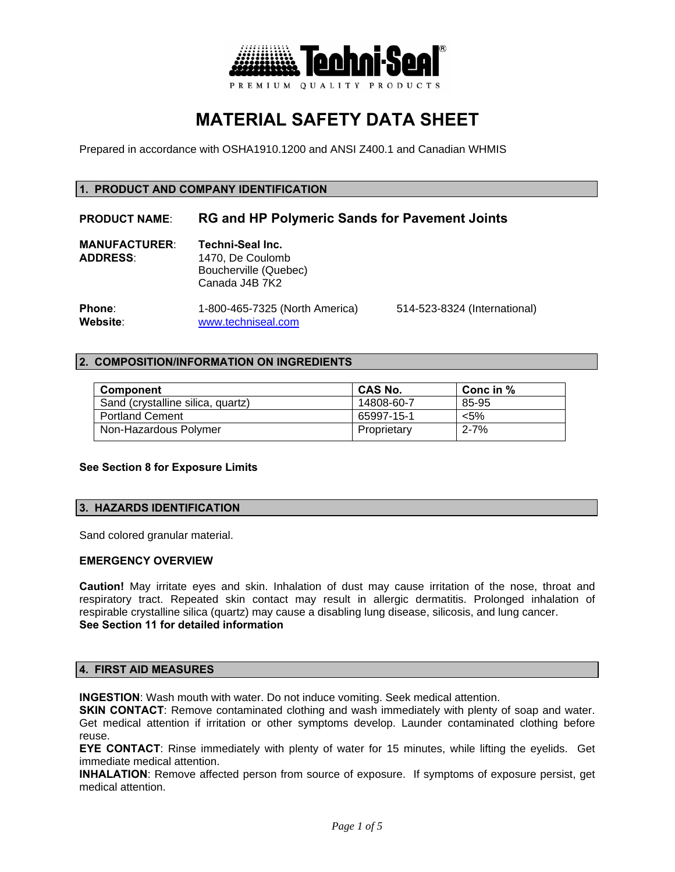

# **MATERIAL SAFETY DATA SHEET**

Prepared in accordance with OSHA1910.1200 and ANSI Z400.1 and Canadian WHMIS

## **1. PRODUCT AND COMPANY IDENTIFICATION**

# **PRODUCT NAME**: **RG and HP Polymeric Sands for Pavement Joints**

| <b>MANUFACTURER:</b> | Techni-Seal Inc.      |
|----------------------|-----------------------|
| <b>ADDRESS:</b>      | 1470. De Coulomb      |
|                      | Boucherville (Quebec) |
|                      | Canada J4B 7K2        |
|                      |                       |

**Phone**: 1-800-465-7325 (North America) 514-523-8324 (International)<br>
Website: www.techniseal.com **Website**: www.techniseal.com

# **2. COMPOSITION/INFORMATION ON INGREDIENTS**

| <b>Component</b>                  | <b>CAS No.</b> | Conc in $%$ |
|-----------------------------------|----------------|-------------|
| Sand (crystalline silica, quartz) | 14808-60-7     | 85-95       |
| <b>Portland Cement</b>            | 65997-15-1     | $< 5\%$     |
| Non-Hazardous Polymer             | Proprietary    | $2 - 7%$    |

## **See Section 8 for Exposure Limits**

# **3. HAZARDS IDENTIFICATION**

Sand colored granular material.

## **EMERGENCY OVERVIEW**

**Caution!** May irritate eyes and skin. Inhalation of dust may cause irritation of the nose, throat and respiratory tract. Repeated skin contact may result in allergic dermatitis. Prolonged inhalation of respirable crystalline silica (quartz) may cause a disabling lung disease, silicosis, and lung cancer. **See Section 11 for detailed information** 

# **4. FIRST AID MEASURES**

**INGESTION**: Wash mouth with water. Do not induce vomiting. Seek medical attention.

**SKIN CONTACT:** Remove contaminated clothing and wash immediately with plenty of soap and water. Get medical attention if irritation or other symptoms develop. Launder contaminated clothing before reuse.

**EYE CONTACT**: Rinse immediately with plenty of water for 15 minutes, while lifting the eyelids. Get immediate medical attention.

**INHALATION**: Remove affected person from source of exposure. If symptoms of exposure persist, get medical attention.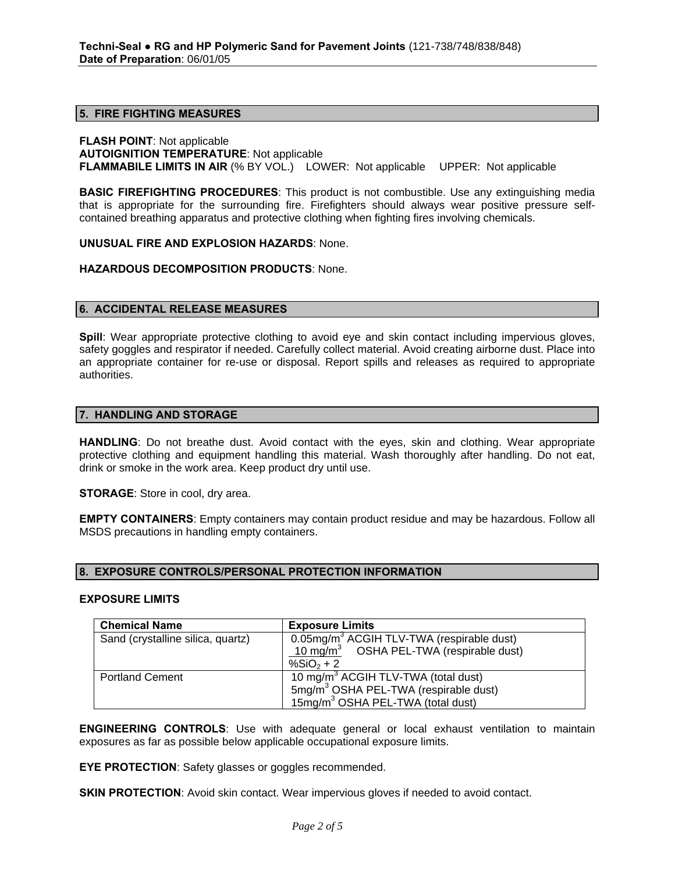#### **5. FIRE FIGHTING MEASURES**

**FLASH POINT**: Not applicable **AUTOIGNITION TEMPERATURE**: Not applicable **FLAMMABILE LIMITS IN AIR** (% BY VOL.) LOWER: Not applicable UPPER: Not applicable

**BASIC FIREFIGHTING PROCEDURES**: This product is not combustible. Use any extinguishing media that is appropriate for the surrounding fire. Firefighters should always wear positive pressure selfcontained breathing apparatus and protective clothing when fighting fires involving chemicals.

**UNUSUAL FIRE AND EXPLOSION HAZARDS**: None.

**HAZARDOUS DECOMPOSITION PRODUCTS**: None.

#### **6. ACCIDENTAL RELEASE MEASURES**

**Spill**: Wear appropriate protective clothing to avoid eye and skin contact including impervious gloves, safety goggles and respirator if needed. Carefully collect material. Avoid creating airborne dust. Place into an appropriate container for re-use or disposal. Report spills and releases as required to appropriate authorities.

#### **7. HANDLING AND STORAGE**

**HANDLING**: Do not breathe dust. Avoid contact with the eyes, skin and clothing. Wear appropriate protective clothing and equipment handling this material. Wash thoroughly after handling. Do not eat, drink or smoke in the work area. Keep product dry until use.

**STORAGE**: Store in cool, dry area.

**EMPTY CONTAINERS:** Empty containers may contain product residue and may be hazardous. Follow all MSDS precautions in handling empty containers.

#### **8. EXPOSURE CONTROLS/PERSONAL PROTECTION INFORMATION**

#### **EXPOSURE LIMITS**

| <b>Chemical Name</b>              | <b>Exposure Limits</b>                                   |
|-----------------------------------|----------------------------------------------------------|
| Sand (crystalline silica, quartz) | $0.05$ mg/m <sup>3</sup> ACGIH TLV-TWA (respirable dust) |
|                                   | 10 mg/m <sup>3</sup> OSHA PEL-TWA (respirable dust)      |
|                                   | % $SiO2 + 2$                                             |
| <b>Portland Cement</b>            | 10 mg/m <sup>3</sup> ACGIH TLV-TWA (total dust)          |
|                                   | 5mg/m <sup>3</sup> OSHA PEL-TWA (respirable dust)        |
|                                   | 15mg/m <sup>3</sup> OSHA PEL-TWA (total dust)            |

**ENGINEERING CONTROLS**: Use with adequate general or local exhaust ventilation to maintain exposures as far as possible below applicable occupational exposure limits.

**EYE PROTECTION:** Safety glasses or goggles recommended.

**SKIN PROTECTION:** Avoid skin contact. Wear impervious gloves if needed to avoid contact.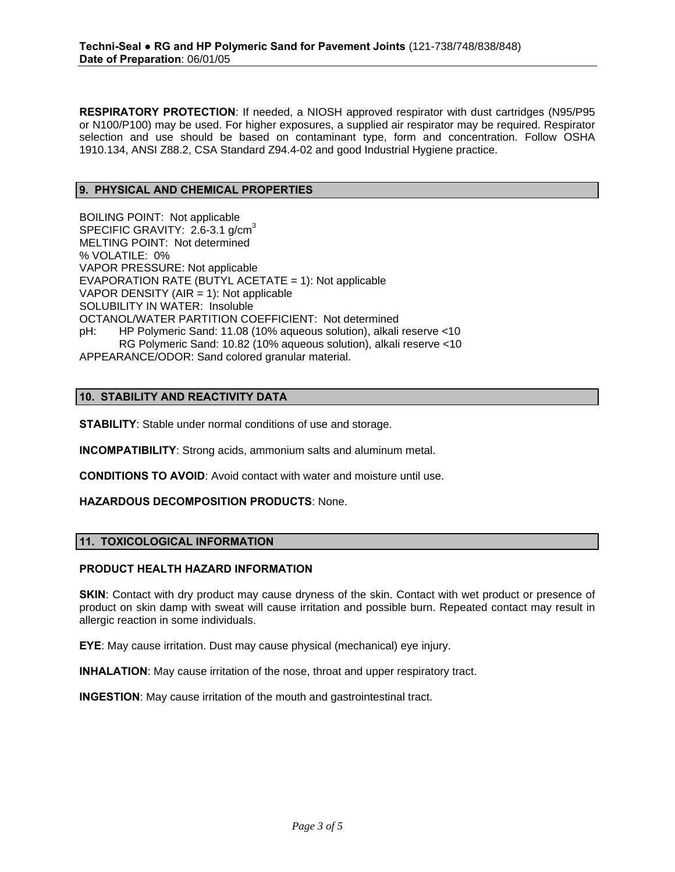**RESPIRATORY PROTECTION**: If needed, a NIOSH approved respirator with dust cartridges (N95/P95 or N100/P100) may be used. For higher exposures, a supplied air respirator may be required. Respirator selection and use should be based on contaminant type, form and concentration. Follow OSHA 1910.134, ANSI Z88.2, CSA Standard Z94.4-02 and good Industrial Hygiene practice.

## **9. PHYSICAL AND CHEMICAL PROPERTIES**

BOILING POINT: Not applicable SPECIFIC GRAVITY: 2.6-3.1 g/cm<sup>3</sup> MELTING POINT: Not determined % VOLATILE: 0% VAPOR PRESSURE: Not applicable EVAPORATION RATE (BUTYL ACETATE = 1): Not applicable VAPOR DENSITY ( $AIR = 1$ ): Not applicable SOLUBILITY IN WATER: Insoluble OCTANOL/WATER PARTITION COEFFICIENT: Not determined pH: HP Polymeric Sand: 11.08 (10% aqueous solution), alkali reserve <10 RG Polymeric Sand: 10.82 (10% aqueous solution), alkali reserve <10 APPEARANCE/ODOR: Sand colored granular material.

## **10. STABILITY AND REACTIVITY DATA**

**STABILITY**: Stable under normal conditions of use and storage.

**INCOMPATIBILITY**: Strong acids, ammonium salts and aluminum metal.

**CONDITIONS TO AVOID**: Avoid contact with water and moisture until use.

## **HAZARDOUS DECOMPOSITION PRODUCTS**: None.

## **11. TOXICOLOGICAL INFORMATION**

# **PRODUCT HEALTH HAZARD INFORMATION**

**SKIN:** Contact with dry product may cause dryness of the skin. Contact with wet product or presence of product on skin damp with sweat will cause irritation and possible burn. Repeated contact may result in allergic reaction in some individuals.

**EYE**: May cause irritation. Dust may cause physical (mechanical) eye injury.

**INHALATION**: May cause irritation of the nose, throat and upper respiratory tract.

**INGESTION**: May cause irritation of the mouth and gastrointestinal tract.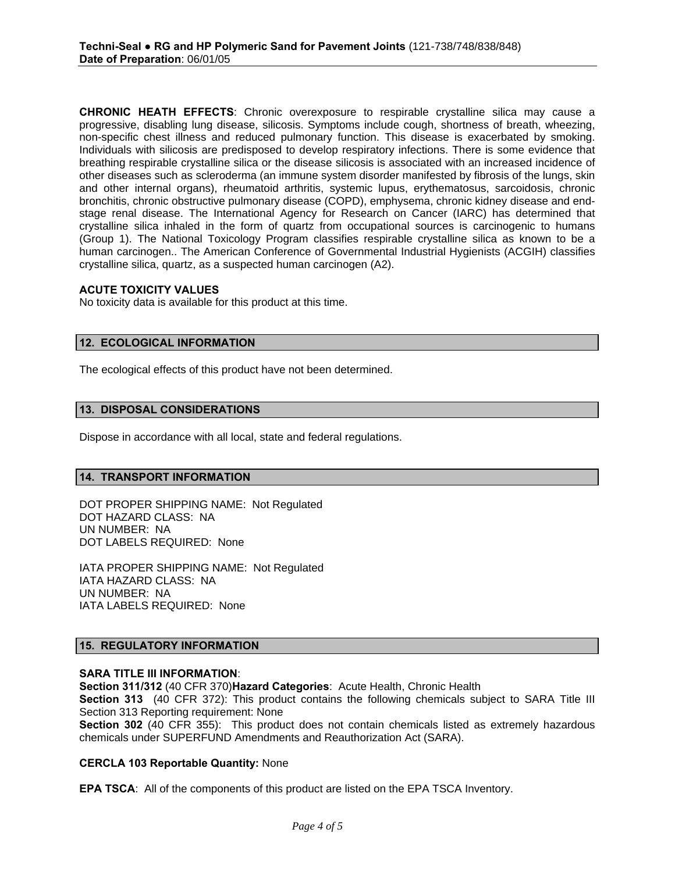**CHRONIC HEATH EFFECTS**: Chronic overexposure to respirable crystalline silica may cause a progressive, disabling lung disease, silicosis. Symptoms include cough, shortness of breath, wheezing, non-specific chest illness and reduced pulmonary function. This disease is exacerbated by smoking. Individuals with silicosis are predisposed to develop respiratory infections. There is some evidence that breathing respirable crystalline silica or the disease silicosis is associated with an increased incidence of other diseases such as scleroderma (an immune system disorder manifested by fibrosis of the lungs, skin and other internal organs), rheumatoid arthritis, systemic lupus, erythematosus, sarcoidosis, chronic bronchitis, chronic obstructive pulmonary disease (COPD), emphysema, chronic kidney disease and endstage renal disease. The International Agency for Research on Cancer (IARC) has determined that crystalline silica inhaled in the form of quartz from occupational sources is carcinogenic to humans (Group 1). The National Toxicology Program classifies respirable crystalline silica as known to be a human carcinogen.. The American Conference of Governmental Industrial Hygienists (ACGIH) classifies crystalline silica, quartz, as a suspected human carcinogen (A2).

#### **ACUTE TOXICITY VALUES**

No toxicity data is available for this product at this time.

## **12. ECOLOGICAL INFORMATION**

The ecological effects of this product have not been determined.

#### **13. DISPOSAL CONSIDERATIONS**

Dispose in accordance with all local, state and federal regulations.

## **14. TRANSPORT INFORMATION**

DOT PROPER SHIPPING NAME: Not Regulated DOT HAZARD CLASS: NA UN NUMBER: NA DOT LABELS REQUIRED: None

IATA PROPER SHIPPING NAME: Not Regulated IATA HAZARD CLASS: NA UN NUMBER: NA IATA LABELS REQUIRED: None

## **15. REGULATORY INFORMATION**

#### **SARA TITLE III INFORMATION**:

**Section 311/312** (40 CFR 370)**Hazard Categories**: Acute Health, Chronic Health

**Section 313** (40 CFR 372): This product contains the following chemicals subject to SARA Title III Section 313 Reporting requirement: None

**Section 302** (40 CFR 355): This product does not contain chemicals listed as extremely hazardous chemicals under SUPERFUND Amendments and Reauthorization Act (SARA).

# **CERCLA 103 Reportable Quantity:** None

**EPA TSCA**: All of the components of this product are listed on the EPA TSCA Inventory.